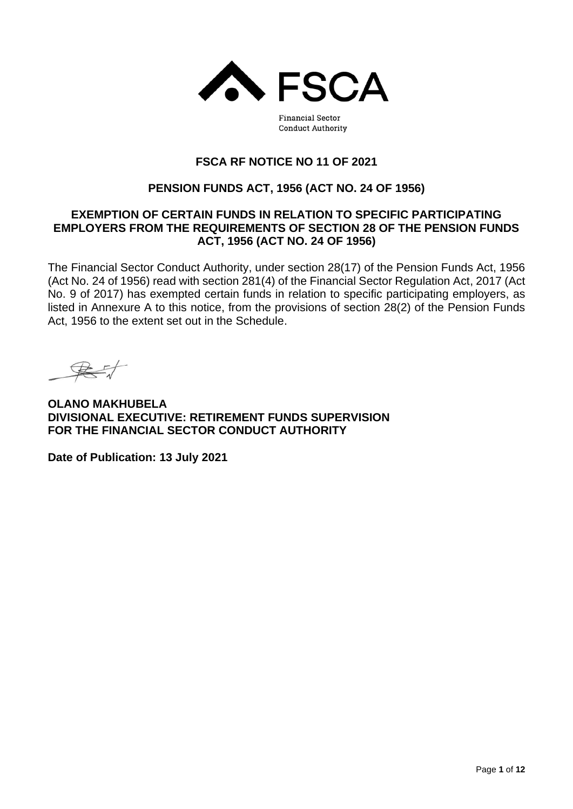

**Financial Sector Conduct Authority** 

# **FSCA RF NOTICE NO 11 OF 2021**

## **PENSION FUNDS ACT, 1956 (ACT NO. 24 OF 1956)**

### **EXEMPTION OF CERTAIN FUNDS IN RELATION TO SPECIFIC PARTICIPATING EMPLOYERS FROM THE REQUIREMENTS OF SECTION 28 OF THE PENSION FUNDS ACT, 1956 (ACT NO. 24 OF 1956)**

The Financial Sector Conduct Authority, under section 28(17) of the Pension Funds Act, 1956 (Act No. 24 of 1956) read with section 281(4) of the Financial Sector Regulation Act, 2017 (Act No. 9 of 2017) has exempted certain funds in relation to specific participating employers, as listed in Annexure A to this notice, from the provisions of section 28(2) of the Pension Funds Act, 1956 to the extent set out in the Schedule.

**OLANO MAKHUBELA DIVISIONAL EXECUTIVE: RETIREMENT FUNDS SUPERVISION FOR THE FINANCIAL SECTOR CONDUCT AUTHORITY**

**Date of Publication: 13 July 2021**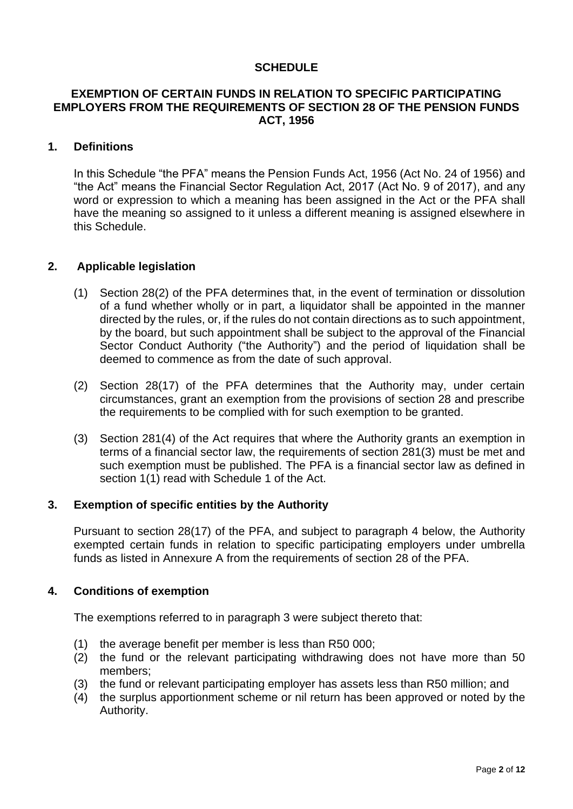### **SCHEDULE**

### **EXEMPTION OF CERTAIN FUNDS IN RELATION TO SPECIFIC PARTICIPATING EMPLOYERS FROM THE REQUIREMENTS OF SECTION 28 OF THE PENSION FUNDS ACT, 1956**

#### **1. Definitions**

In this Schedule "the PFA" means the Pension Funds Act, 1956 (Act No. 24 of 1956) and "the Act" means the Financial Sector Regulation Act, 2017 (Act No. 9 of 2017), and any word or expression to which a meaning has been assigned in the Act or the PFA shall have the meaning so assigned to it unless a different meaning is assigned elsewhere in this Schedule.

#### **2. Applicable legislation**

- (1) Section 28(2) of the PFA determines that, in the event of termination or dissolution of a fund whether wholly or in part, a liquidator shall be appointed in the manner directed by the rules, or, if the rules do not contain directions as to such appointment, by the board, but such appointment shall be subject to the approval of the Financial Sector Conduct Authority ("the Authority") and the period of liquidation shall be deemed to commence as from the date of such approval.
- (2) Section 28(17) of the PFA determines that the Authority may, under certain circumstances, grant an exemption from the provisions of section 28 and prescribe the requirements to be complied with for such exemption to be granted.
- (3) Section 281(4) of the Act requires that where the Authority grants an exemption in terms of a financial sector law, the requirements of section 281(3) must be met and such exemption must be published. The PFA is a financial sector law as defined in section 1(1) read with Schedule 1 of the Act.

#### **3. Exemption of specific entities by the Authority**

Pursuant to section 28(17) of the PFA, and subject to paragraph 4 below, the Authority exempted certain funds in relation to specific participating employers under umbrella funds as listed in Annexure A from the requirements of section 28 of the PFA.

#### **4. Conditions of exemption**

The exemptions referred to in paragraph 3 were subject thereto that:

- (1) the average benefit per member is less than R50 000;
- (2) the fund or the relevant participating withdrawing does not have more than 50 members;
- (3) the fund or relevant participating employer has assets less than R50 million; and
- (4) the surplus apportionment scheme or nil return has been approved or noted by the Authority.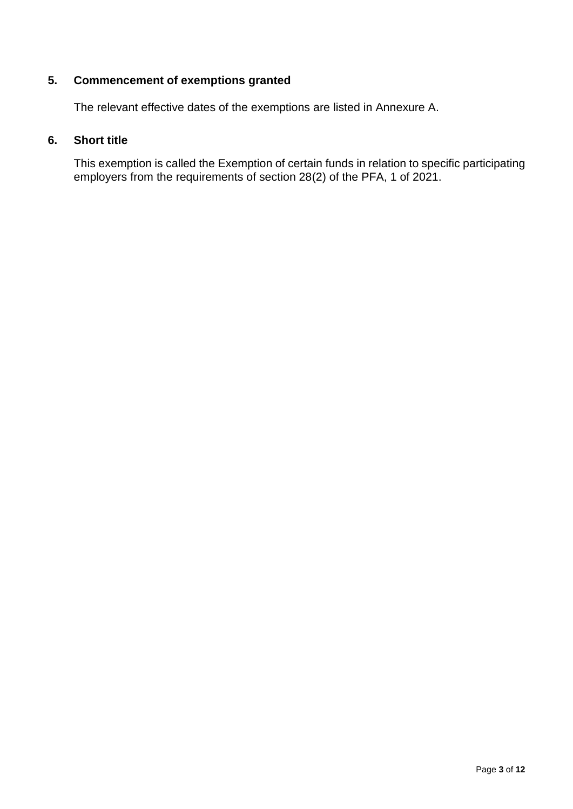# **5. Commencement of exemptions granted**

The relevant effective dates of the exemptions are listed in Annexure A.

## **6. Short title**

This exemption is called the Exemption of certain funds in relation to specific participating employers from the requirements of section 28(2) of the PFA, 1 of 2021.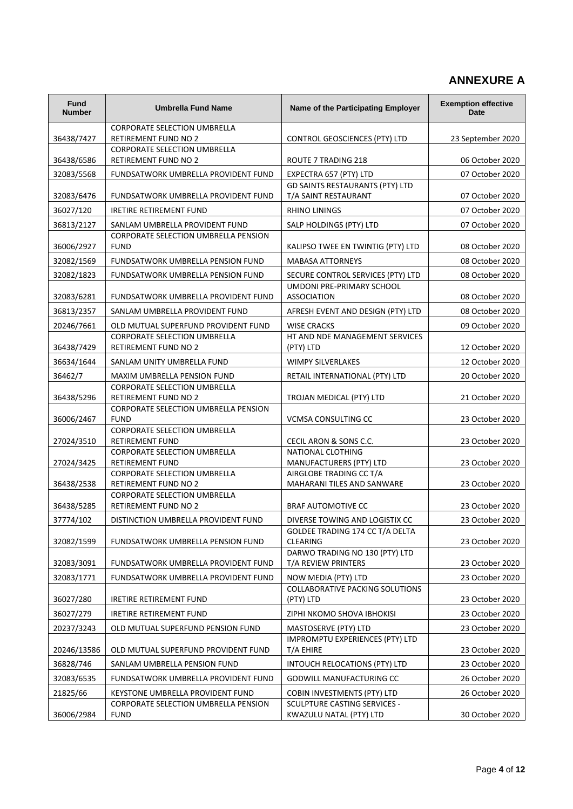# **ANNEXURE A**

| <b>Fund</b><br><b>Number</b> | <b>Umbrella Fund Name</b>                                          | Name of the Participating Employer                                | <b>Exemption effective</b><br><b>Date</b> |
|------------------------------|--------------------------------------------------------------------|-------------------------------------------------------------------|-------------------------------------------|
|                              | CORPORATE SELECTION UMBRELLA                                       |                                                                   |                                           |
| 36438/7427                   | <b>RETIREMENT FUND NO 2</b><br><b>CORPORATE SELECTION UMBRELLA</b> | CONTROL GEOSCIENCES (PTY) LTD                                     | 23 September 2020                         |
| 36438/6586                   | RETIREMENT FUND NO 2                                               | ROUTE 7 TRADING 218                                               | 06 October 2020                           |
| 32083/5568                   | FUNDSATWORK UMBRELLA PROVIDENT FUND                                | EXPECTRA 657 (PTY) LTD                                            | 07 October 2020                           |
| 32083/6476                   | FUNDSATWORK UMBRELLA PROVIDENT FUND                                | GD SAINTS RESTAURANTS (PTY) LTD<br>T/A SAINT RESTAURANT           | 07 October 2020                           |
| 36027/120                    | <b>IRETIRE RETIREMENT FUND</b>                                     | <b>RHINO LININGS</b>                                              | 07 October 2020                           |
| 36813/2127                   | SANLAM UMBRELLA PROVIDENT FUND                                     | SALP HOLDINGS (PTY) LTD                                           | 07 October 2020                           |
| 36006/2927                   | CORPORATE SELECTION UMBRELLA PENSION<br><b>FUND</b>                | KALIPSO TWEE EN TWINTIG (PTY) LTD                                 | 08 October 2020                           |
| 32082/1569                   | FUNDSATWORK UMBRELLA PENSION FUND                                  | <b>MABASA ATTORNEYS</b>                                           | 08 October 2020                           |
| 32082/1823                   | FUNDSATWORK UMBRELLA PENSION FUND                                  | SECURE CONTROL SERVICES (PTY) LTD                                 | 08 October 2020                           |
| 32083/6281                   | FUNDSATWORK UMBRELLA PROVIDENT FUND                                | UMDONI PRE-PRIMARY SCHOOL<br><b>ASSOCIATION</b>                   | 08 October 2020                           |
| 36813/2357                   | SANLAM UMBRELLA PROVIDENT FUND                                     | AFRESH EVENT AND DESIGN (PTY) LTD                                 | 08 October 2020                           |
| 20246/7661                   | OLD MUTUAL SUPERFUND PROVIDENT FUND                                | <b>WISE CRACKS</b>                                                | 09 October 2020                           |
|                              | <b>CORPORATE SELECTION UMBRELLA</b>                                | HT AND NDE MANAGEMENT SERVICES                                    |                                           |
| 36438/7429                   | RETIREMENT FUND NO 2                                               | (PTY) LTD                                                         | 12 October 2020                           |
| 36634/1644                   | SANLAM UNITY UMBRELLA FUND                                         | <b>WIMPY SILVERLAKES</b>                                          | 12 October 2020                           |
| 36462/7                      | MAXIM UMBRELLA PENSION FUND<br>CORPORATE SELECTION UMBRELLA        | RETAIL INTERNATIONAL (PTY) LTD                                    | 20 October 2020                           |
| 36438/5296                   | <b>RETIREMENT FUND NO 2</b>                                        | TROJAN MEDICAL (PTY) LTD                                          | 21 October 2020                           |
| 36006/2467                   | CORPORATE SELECTION UMBRELLA PENSION<br><b>FUND</b>                | <b>VCMSA CONSULTING CC</b>                                        | 23 October 2020                           |
| 27024/3510                   | CORPORATE SELECTION UMBRELLA<br>RETIREMENT FUND                    | CECIL ARON & SONS C.C.                                            | 23 October 2020                           |
|                              | CORPORATE SELECTION UMBRELLA                                       | NATIONAL CLOTHING                                                 |                                           |
| 27024/3425                   | RETIREMENT FUND                                                    | MANUFACTURERS (PTY) LTD                                           | 23 October 2020                           |
| 36438/2538                   | CORPORATE SELECTION UMBRELLA<br>RETIREMENT FUND NO 2               | AIRGLOBE TRADING CC T/A<br>MAHARANI TILES AND SANWARE             | 23 October 2020                           |
|                              | CORPORATE SELECTION UMBRELLA                                       |                                                                   |                                           |
| 36438/5285                   | <b>RETIREMENT FUND NO 2</b>                                        | <b>BRAF AUTOMOTIVE CC</b>                                         | 23 October 2020                           |
| 37774/102                    | DISTINCTION UMBRELLA PROVIDENT FUND                                | DIVERSE TOWING AND LOGISTIX CC<br>GOLDEE TRADING 174 CC T/A DELTA | 23 October 2020                           |
| 32082/1599                   | FUNDSATWORK UMBRELLA PENSION FUND                                  | <b>CLEARING</b>                                                   | 23 October 2020                           |
| 32083/3091                   | FUNDSATWORK UMBRELLA PROVIDENT FUND                                | DARWO TRADING NO 130 (PTY) LTD<br>T/A REVIEW PRINTERS             | 23 October 2020                           |
| 32083/1771                   | FUNDSATWORK UMBRELLA PROVIDENT FUND                                | NOW MEDIA (PTY) LTD                                               | 23 October 2020                           |
| 36027/280                    | <b>IRETIRE RETIREMENT FUND</b>                                     | <b>COLLABORATIVE PACKING SOLUTIONS</b><br>(PTY) LTD               | 23 October 2020                           |
| 36027/279                    | <b>IRETIRE RETIREMENT FUND</b>                                     | ZIPHI NKOMO SHOVA IBHOKISI                                        | 23 October 2020                           |
| 20237/3243                   | OLD MUTUAL SUPERFUND PENSION FUND                                  | MASTOSERVE (PTY) LTD                                              | 23 October 2020                           |
| 20246/13586                  | OLD MUTUAL SUPERFUND PROVIDENT FUND                                | <b>IMPROMPTU EXPERIENCES (PTY) LTD</b><br>T/A EHIRE               | 23 October 2020                           |
| 36828/746                    | SANLAM UMBRELLA PENSION FUND                                       | INTOUCH RELOCATIONS (PTY) LTD                                     | 23 October 2020                           |
| 32083/6535                   | FUNDSATWORK UMBRELLA PROVIDENT FUND                                | <b>GODWILL MANUFACTURING CC</b>                                   | 26 October 2020                           |
| 21825/66                     | KEYSTONE UMBRELLA PROVIDENT FUND                                   | <b>COBIN INVESTMENTS (PTY) LTD</b>                                | 26 October 2020                           |
| 36006/2984                   | CORPORATE SELECTION UMBRELLA PENSION<br><b>FUND</b>                | <b>SCULPTURE CASTING SERVICES -</b><br>KWAZULU NATAL (PTY) LTD    | 30 October 2020                           |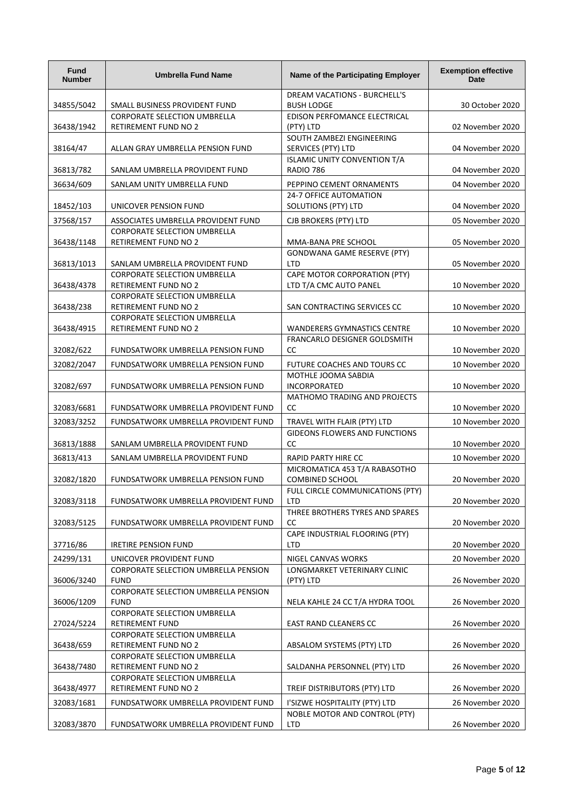| <b>Fund</b><br><b>Number</b> | <b>Umbrella Fund Name</b>                                          | Name of the Participating Employer                        | <b>Exemption effective</b><br><b>Date</b> |
|------------------------------|--------------------------------------------------------------------|-----------------------------------------------------------|-------------------------------------------|
| 34855/5042                   | SMALL BUSINESS PROVIDENT FUND                                      | DREAM VACATIONS - BURCHELL'S<br><b>BUSH LODGE</b>         | 30 October 2020                           |
|                              | <b>CORPORATE SELECTION UMBRELLA</b>                                | EDISON PERFOMANCE ELECTRICAL                              |                                           |
| 36438/1942                   | <b>RETIREMENT FUND NO 2</b>                                        | (PTY) LTD                                                 | 02 November 2020                          |
|                              |                                                                    | SOUTH ZAMBEZI ENGINEERING                                 |                                           |
| 38164/47                     | ALLAN GRAY UMBRELLA PENSION FUND                                   | SERVICES (PTY) LTD<br><b>ISLAMIC UNITY CONVENTION T/A</b> | 04 November 2020                          |
| 36813/782                    | SANLAM UMBRELLA PROVIDENT FUND                                     | RADIO 786                                                 | 04 November 2020                          |
| 36634/609                    | SANLAM UNITY UMBRELLA FUND                                         | PEPPINO CEMENT ORNAMENTS                                  | 04 November 2020                          |
| 18452/103                    | UNICOVER PENSION FUND                                              | <b>24-7 OFFICE AUTOMATION</b><br>SOLUTIONS (PTY) LTD      | 04 November 2020                          |
| 37568/157                    | ASSOCIATES UMBRELLA PROVIDENT FUND                                 | CJB BROKERS (PTY) LTD                                     | 05 November 2020                          |
|                              | <b>CORPORATE SELECTION UMBRELLA</b>                                |                                                           |                                           |
| 36438/1148                   | RETIREMENT FUND NO 2                                               | MMA-BANA PRE SCHOOL                                       | 05 November 2020                          |
|                              |                                                                    | <b>GONDWANA GAME RESERVE (PTY)</b>                        |                                           |
| 36813/1013                   | SANLAM UMBRELLA PROVIDENT FUND                                     | <b>LTD</b>                                                | 05 November 2020                          |
| 36438/4378                   | <b>CORPORATE SELECTION UMBRELLA</b><br><b>RETIREMENT FUND NO 2</b> | CAPE MOTOR CORPORATION (PTY)<br>LTD T/A CMC AUTO PANEL    | 10 November 2020                          |
|                              | <b>CORPORATE SELECTION UMBRELLA</b>                                |                                                           |                                           |
| 36438/238                    | RETIREMENT FUND NO 2                                               | SAN CONTRACTING SERVICES CC                               | 10 November 2020                          |
|                              | <b>CORPORATE SELECTION UMBRELLA</b>                                |                                                           |                                           |
| 36438/4915                   | <b>RETIREMENT FUND NO 2</b>                                        | WANDERERS GYMNASTICS CENTRE                               | 10 November 2020                          |
| 32082/622                    | FUNDSATWORK UMBRELLA PENSION FUND                                  | FRANCARLO DESIGNER GOLDSMITH<br>CC                        | 10 November 2020                          |
| 32082/2047                   | FUNDSATWORK UMBRELLA PENSION FUND                                  | FUTURE COACHES AND TOURS CC                               | 10 November 2020                          |
|                              |                                                                    | MOTHLE JOOMA SABDIA                                       |                                           |
| 32082/697                    | FUNDSATWORK UMBRELLA PENSION FUND                                  | INCORPORATED                                              | 10 November 2020                          |
| 32083/6681                   | FUNDSATWORK UMBRELLA PROVIDENT FUND                                | MATHOMO TRADING AND PROJECTS<br>cc                        | 10 November 2020                          |
| 32083/3252                   | FUNDSATWORK UMBRELLA PROVIDENT FUND                                | TRAVEL WITH FLAIR (PTY) LTD                               | 10 November 2020                          |
|                              |                                                                    | <b>GIDEONS FLOWERS AND FUNCTIONS</b>                      |                                           |
| 36813/1888                   | SANLAM UMBRELLA PROVIDENT FUND                                     | cc                                                        | 10 November 2020                          |
| 36813/413                    | SANLAM UMBRELLA PROVIDENT FUND                                     | RAPID PARTY HIRE CC                                       | 10 November 2020                          |
| 32082/1820                   | FUNDSATWORK UMBRELLA PENSION FUND                                  | MICROMATICA 453 T/A RABASOTHO<br><b>COMBINED SCHOOL</b>   | 20 November 2020                          |
|                              |                                                                    | FULL CIRCLE COMMUNICATIONS (PTY)                          |                                           |
| 32083/3118                   | FUNDSATWORK UMBRELLA PROVIDENT FUND                                | LTD<br>THREE BROTHERS TYRES AND SPARES                    | 20 November 2020                          |
| 32083/5125                   | FUNDSATWORK UMBRELLA PROVIDENT FUND                                | cc                                                        | 20 November 2020                          |
|                              |                                                                    | CAPE INDUSTRIAL FLOORING (PTY)                            |                                           |
| 37716/86                     | <b>IRETIRE PENSION FUND</b>                                        | <b>LTD</b>                                                | 20 November 2020                          |
| 24299/131                    | UNICOVER PROVIDENT FUND                                            | NIGEL CANVAS WORKS                                        | 20 November 2020                          |
| 36006/3240                   | CORPORATE SELECTION UMBRELLA PENSION<br><b>FUND</b>                | LONGMARKET VETERINARY CLINIC<br>(PTY) LTD                 | 26 November 2020                          |
|                              | CORPORATE SELECTION UMBRELLA PENSION                               |                                                           |                                           |
| 36006/1209                   | <b>FUND</b>                                                        | NELA KAHLE 24 CC T/A HYDRA TOOL                           | 26 November 2020                          |
|                              | CORPORATE SELECTION UMBRELLA                                       |                                                           |                                           |
| 27024/5224                   | RETIREMENT FUND<br><b>CORPORATE SELECTION UMBRELLA</b>             | EAST RAND CLEANERS CC                                     | 26 November 2020                          |
| 36438/659                    | RETIREMENT FUND NO 2                                               | ABSALOM SYSTEMS (PTY) LTD                                 | 26 November 2020                          |
|                              | <b>CORPORATE SELECTION UMBRELLA</b>                                |                                                           |                                           |
| 36438/7480                   | RETIREMENT FUND NO 2                                               | SALDANHA PERSONNEL (PTY) LTD                              | 26 November 2020                          |
| 36438/4977                   | CORPORATE SELECTION UMBRELLA<br>RETIREMENT FUND NO 2               | TREIF DISTRIBUTORS (PTY) LTD                              | 26 November 2020                          |
| 32083/1681                   | FUNDSATWORK UMBRELLA PROVIDENT FUND                                | I'SIZWE HOSPITALITY (PTY) LTD                             | 26 November 2020                          |
|                              |                                                                    | NOBLE MOTOR AND CONTROL (PTY)                             |                                           |
| 32083/3870                   | FUNDSATWORK UMBRELLA PROVIDENT FUND                                | LTD                                                       | 26 November 2020                          |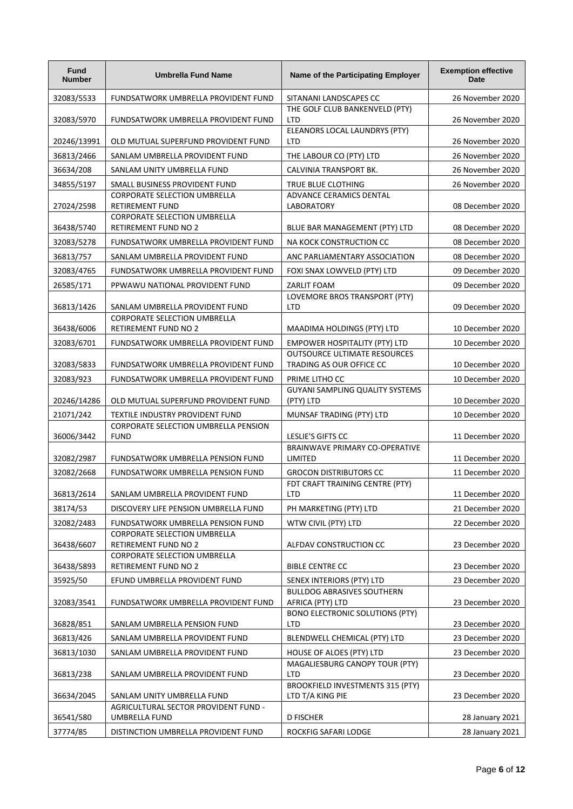| <b>Fund</b><br><b>Number</b> | <b>Umbrella Fund Name</b>                                          | Name of the Participating Employer                              | <b>Exemption effective</b><br><b>Date</b> |
|------------------------------|--------------------------------------------------------------------|-----------------------------------------------------------------|-------------------------------------------|
| 32083/5533                   | FUNDSATWORK UMBRELLA PROVIDENT FUND                                | SITANANI LANDSCAPES CC                                          | 26 November 2020                          |
| 32083/5970                   | FUNDSATWORK UMBRELLA PROVIDENT FUND                                | THE GOLF CLUB BANKENVELD (PTY)<br>LTD                           | 26 November 2020                          |
| 20246/13991                  | OLD MUTUAL SUPERFUND PROVIDENT FUND                                | ELEANORS LOCAL LAUNDRYS (PTY)<br><b>LTD</b>                     | 26 November 2020                          |
| 36813/2466                   | SANLAM UMBRELLA PROVIDENT FUND                                     | THE LABOUR CO (PTY) LTD                                         | 26 November 2020                          |
| 36634/208                    | SANLAM UNITY UMBRELLA FUND                                         | CALVINIA TRANSPORT BK.                                          | 26 November 2020                          |
| 34855/5197                   | SMALL BUSINESS PROVIDENT FUND                                      | TRUE BLUE CLOTHING                                              | 26 November 2020                          |
| 27024/2598                   | CORPORATE SELECTION UMBRELLA<br>RETIREMENT FUND                    | ADVANCE CERAMICS DENTAL<br>LABORATORY                           | 08 December 2020                          |
| 36438/5740                   | <b>CORPORATE SELECTION UMBRELLA</b><br><b>RETIREMENT FUND NO 2</b> | BLUE BAR MANAGEMENT (PTY) LTD                                   | 08 December 2020                          |
| 32083/5278                   | FUNDSATWORK UMBRELLA PROVIDENT FUND                                | NA KOCK CONSTRUCTION CC                                         | 08 December 2020                          |
| 36813/757                    | SANLAM UMBRELLA PROVIDENT FUND                                     | ANC PARLIAMENTARY ASSOCIATION                                   | 08 December 2020                          |
| 32083/4765                   | FUNDSATWORK UMBRELLA PROVIDENT FUND                                | FOXI SNAX LOWVELD (PTY) LTD                                     | 09 December 2020                          |
| 26585/171                    | PPWAWU NATIONAL PROVIDENT FUND                                     | ZARLIT FOAM                                                     | 09 December 2020                          |
| 36813/1426                   | SANLAM UMBRELLA PROVIDENT FUND                                     | LOVEMORE BROS TRANSPORT (PTY)<br><b>LTD</b>                     | 09 December 2020                          |
| 36438/6006                   | <b>CORPORATE SELECTION UMBRELLA</b><br><b>RETIREMENT FUND NO 2</b> | MAADIMA HOLDINGS (PTY) LTD                                      | 10 December 2020                          |
| 32083/6701                   | FUNDSATWORK UMBRELLA PROVIDENT FUND                                | <b>EMPOWER HOSPITALITY (PTY) LTD</b>                            | 10 December 2020                          |
| 32083/5833                   | FUNDSATWORK UMBRELLA PROVIDENT FUND                                | <b>OUTSOURCE ULTIMATE RESOURCES</b><br>TRADING AS OUR OFFICE CC | 10 December 2020                          |
| 32083/923                    | FUNDSATWORK UMBRELLA PROVIDENT FUND                                | PRIME LITHO CC                                                  | 10 December 2020                          |
| 20246/14286                  | OLD MUTUAL SUPERFUND PROVIDENT FUND                                | GUYANI SAMPLING QUALITY SYSTEMS<br>(PTY) LTD                    | 10 December 2020                          |
| 21071/242                    | TEXTILE INDUSTRY PROVIDENT FUND                                    | MUNSAF TRADING (PTY) LTD                                        | 10 December 2020                          |
| 36006/3442                   | CORPORATE SELECTION UMBRELLA PENSION<br><b>FUND</b>                | <b>LESLIE'S GIFTS CC</b>                                        | 11 December 2020                          |
| 32082/2987                   | FUNDSATWORK UMBRELLA PENSION FUND                                  | BRAINWAVE PRIMARY CO-OPERATIVE<br>LIMITED                       | 11 December 2020                          |
| 32082/2668                   | FUNDSATWORK UMBRELLA PENSION FUND                                  | <b>GROCON DISTRIBUTORS CC</b>                                   | 11 December 2020                          |
| 36813/2614                   | SANLAM UMBRELLA PROVIDENT FUND                                     | FDT CRAFT TRAINING CENTRE (PTY)<br>LTD                          | 11 December 2020                          |
| 38174/53                     | DISCOVERY LIFE PENSION UMBRELLA FUND                               | PH MARKETING (PTY) LTD                                          | 21 December 2020                          |
| 32082/2483                   | FUNDSATWORK UMBRELLA PENSION FUND                                  | WTW CIVIL (PTY) LTD                                             | 22 December 2020                          |
| 36438/6607                   | CORPORATE SELECTION UMBRELLA<br>RETIREMENT FUND NO 2               | ALFDAV CONSTRUCTION CC                                          | 23 December 2020                          |
| 36438/5893                   | CORPORATE SELECTION UMBRELLA<br><b>RETIREMENT FUND NO 2</b>        | <b>BIBLE CENTRE CC</b>                                          | 23 December 2020                          |
| 35925/50                     | EFUND UMBRELLA PROVIDENT FUND                                      | SENEX INTERIORS (PTY) LTD                                       | 23 December 2020                          |
| 32083/3541                   | FUNDSATWORK UMBRELLA PROVIDENT FUND                                | <b>BULLDOG ABRASIVES SOUTHERN</b><br>AFRICA (PTY) LTD           | 23 December 2020                          |
| 36828/851                    | SANLAM UMBRELLA PENSION FUND                                       | <b>BONO ELECTRONIC SOLUTIONS (PTY)</b><br>LTD                   | 23 December 2020                          |
| 36813/426                    | SANLAM UMBRELLA PROVIDENT FUND                                     | BLENDWELL CHEMICAL (PTY) LTD                                    | 23 December 2020                          |
| 36813/1030                   | SANLAM UMBRELLA PROVIDENT FUND                                     | HOUSE OF ALOES (PTY) LTD                                        | 23 December 2020                          |
| 36813/238                    | SANLAM UMBRELLA PROVIDENT FUND                                     | MAGALIESBURG CANOPY TOUR (PTY)<br><b>LTD</b>                    | 23 December 2020                          |
| 36634/2045                   | SANLAM UNITY UMBRELLA FUND                                         | BROOKFIELD INVESTMENTS 315 (PTY)<br>LTD T/A KING PIE            | 23 December 2020                          |
| 36541/580                    | AGRICULTURAL SECTOR PROVIDENT FUND -<br>UMBRELLA FUND              | D FISCHER                                                       | 28 January 2021                           |
| 37774/85                     | DISTINCTION UMBRELLA PROVIDENT FUND                                | ROCKFIG SAFARI LODGE                                            | 28 January 2021                           |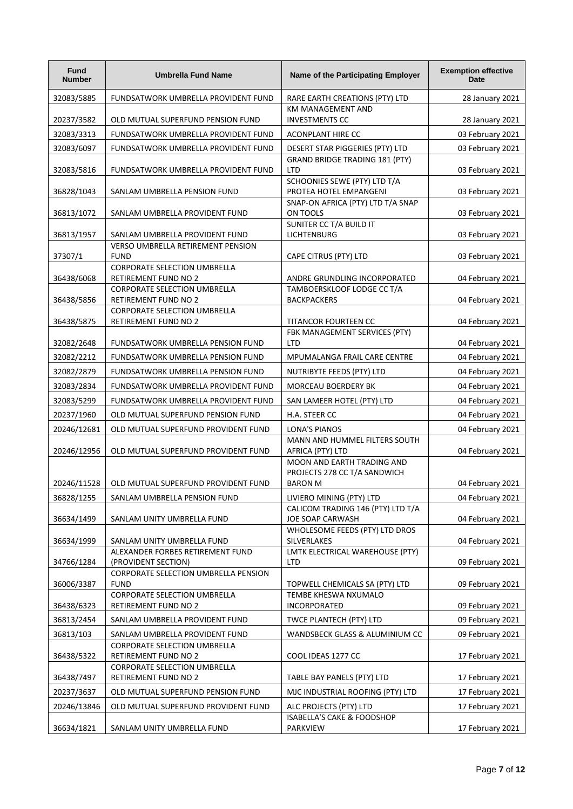| <b>Fund</b><br><b>Number</b> | <b>Umbrella Fund Name</b>                                          | Name of the Participating Employer                                           | <b>Exemption effective</b><br><b>Date</b> |
|------------------------------|--------------------------------------------------------------------|------------------------------------------------------------------------------|-------------------------------------------|
| 32083/5885                   | FUNDSATWORK UMBRELLA PROVIDENT FUND                                | RARE EARTH CREATIONS (PTY) LTD                                               | 28 January 2021                           |
| 20237/3582                   | OLD MUTUAL SUPERFUND PENSION FUND                                  | KM MANAGEMENT AND<br><b>INVESTMENTS CC</b>                                   | 28 January 2021                           |
| 32083/3313                   | FUNDSATWORK UMBRELLA PROVIDENT FUND                                | <b>ACONPLANT HIRE CC</b>                                                     | 03 February 2021                          |
| 32083/6097                   | FUNDSATWORK UMBRELLA PROVIDENT FUND                                | DESERT STAR PIGGERIES (PTY) LTD                                              | 03 February 2021                          |
| 32083/5816                   | FUNDSATWORK UMBRELLA PROVIDENT FUND                                | <b>GRAND BRIDGE TRADING 181 (PTY)</b><br><b>LTD</b>                          | 03 February 2021                          |
| 36828/1043                   | SANLAM UMBRELLA PENSION FUND                                       | SCHOONIES SEWE (PTY) LTD T/A<br>PROTEA HOTEL EMPANGENI                       | 03 February 2021                          |
| 36813/1072                   | SANLAM UMBRELLA PROVIDENT FUND                                     | SNAP-ON AFRICA (PTY) LTD T/A SNAP<br>ON TOOLS                                | 03 February 2021                          |
| 36813/1957                   | SANLAM UMBRELLA PROVIDENT FUND                                     | SUNITER CC T/A BUILD IT<br><b>LICHTENBURG</b>                                | 03 February 2021                          |
|                              | VERSO UMBRELLA RETIREMENT PENSION                                  |                                                                              |                                           |
| 37307/1                      | <b>FUND</b>                                                        | CAPE CITRUS (PTY) LTD                                                        | 03 February 2021                          |
| 36438/6068                   | <b>CORPORATE SELECTION UMBRELLA</b><br><b>RETIREMENT FUND NO 2</b> | ANDRE GRUNDLING INCORPORATED                                                 | 04 February 2021                          |
|                              | <b>CORPORATE SELECTION UMBRELLA</b>                                | TAMBOERSKLOOF LODGE CC T/A                                                   |                                           |
| 36438/5856                   | <b>RETIREMENT FUND NO 2</b>                                        | <b>BACKPACKERS</b>                                                           | 04 February 2021                          |
|                              | CORPORATE SELECTION UMBRELLA                                       |                                                                              |                                           |
| 36438/5875                   | <b>RETIREMENT FUND NO 2</b>                                        | TITANCOR FOURTEEN CC<br>FBK MANAGEMENT SERVICES (PTY)                        | 04 February 2021                          |
| 32082/2648                   | FUNDSATWORK UMBRELLA PENSION FUND                                  | <b>LTD</b>                                                                   | 04 February 2021                          |
| 32082/2212                   | FUNDSATWORK UMBRELLA PENSION FUND                                  | MPUMALANGA FRAIL CARE CENTRE                                                 | 04 February 2021                          |
| 32082/2879                   | FUNDSATWORK UMBRELLA PENSION FUND                                  | NUTRIBYTE FEEDS (PTY) LTD                                                    | 04 February 2021                          |
| 32083/2834                   | FUNDSATWORK UMBRELLA PROVIDENT FUND                                | MORCEAU BOERDERY BK                                                          | 04 February 2021                          |
| 32083/5299                   | FUNDSATWORK UMBRELLA PROVIDENT FUND                                | SAN LAMEER HOTEL (PTY) LTD                                                   | 04 February 2021                          |
| 20237/1960                   | OLD MUTUAL SUPERFUND PENSION FUND                                  | H.A. STEER CC                                                                | 04 February 2021                          |
| 20246/12681                  | OLD MUTUAL SUPERFUND PROVIDENT FUND                                | LONA'S PIANOS                                                                | 04 February 2021                          |
| 20246/12956                  | OLD MUTUAL SUPERFUND PROVIDENT FUND                                | MANN AND HUMMEL FILTERS SOUTH<br>AFRICA (PTY) LTD                            | 04 February 2021                          |
| 20246/11528                  | OLD MUTUAL SUPERFUND PROVIDENT FUND                                | MOON AND EARTH TRADING AND<br>PROJECTS 278 CC T/A SANDWICH<br><b>BARON M</b> | 04 February 2021                          |
| 36828/1255                   | SANLAM UMBRELLA PENSION FUND                                       | LIVIERO MINING (PTY) LTD                                                     | 04 February 2021                          |
| 36634/1499                   | SANLAM UNITY UMBRELLA FUND                                         | CALICOM TRADING 146 (PTY) LTD T/A<br>JOE SOAP CARWASH                        | 04 February 2021                          |
| 36634/1999                   | SANLAM UNITY UMBRELLA FUND                                         | WHOLESOME FEEDS (PTY) LTD DROS<br>SILVERLAKES                                | 04 February 2021                          |
| 34766/1284                   | ALEXANDER FORBES RETIREMENT FUND<br>(PROVIDENT SECTION)            | LMTK ELECTRICAL WAREHOUSE (PTY)<br><b>LTD</b>                                | 09 February 2021                          |
| 36006/3387                   | CORPORATE SELECTION UMBRELLA PENSION<br><b>FUND</b>                | TOPWELL CHEMICALS SA (PTY) LTD                                               | 09 February 2021                          |
| 36438/6323                   | CORPORATE SELECTION UMBRELLA<br><b>RETIREMENT FUND NO 2</b>        | TEMBE KHESWA NXUMALO<br>INCORPORATED                                         | 09 February 2021                          |
| 36813/2454                   | SANLAM UMBRELLA PROVIDENT FUND                                     | TWCE PLANTECH (PTY) LTD                                                      | 09 February 2021                          |
| 36813/103                    | SANLAM UMBRELLA PROVIDENT FUND                                     | WANDSBECK GLASS & ALUMINIUM CC                                               | 09 February 2021                          |
| 36438/5322                   | <b>CORPORATE SELECTION UMBRELLA</b><br><b>RETIREMENT FUND NO 2</b> | COOL IDEAS 1277 CC                                                           | 17 February 2021                          |
| 36438/7497                   | CORPORATE SELECTION UMBRELLA<br>RETIREMENT FUND NO 2               | TABLE BAY PANELS (PTY) LTD                                                   | 17 February 2021                          |
| 20237/3637                   | OLD MUTUAL SUPERFUND PENSION FUND                                  | MJC INDUSTRIAL ROOFING (PTY) LTD                                             | 17 February 2021                          |
| 20246/13846                  | OLD MUTUAL SUPERFUND PROVIDENT FUND                                | ALC PROJECTS (PTY) LTD                                                       | 17 February 2021                          |
|                              |                                                                    | ISABELLA'S CAKE & FOODSHOP                                                   |                                           |
| 36634/1821                   | SANLAM UNITY UMBRELLA FUND                                         | PARKVIEW                                                                     | 17 February 2021                          |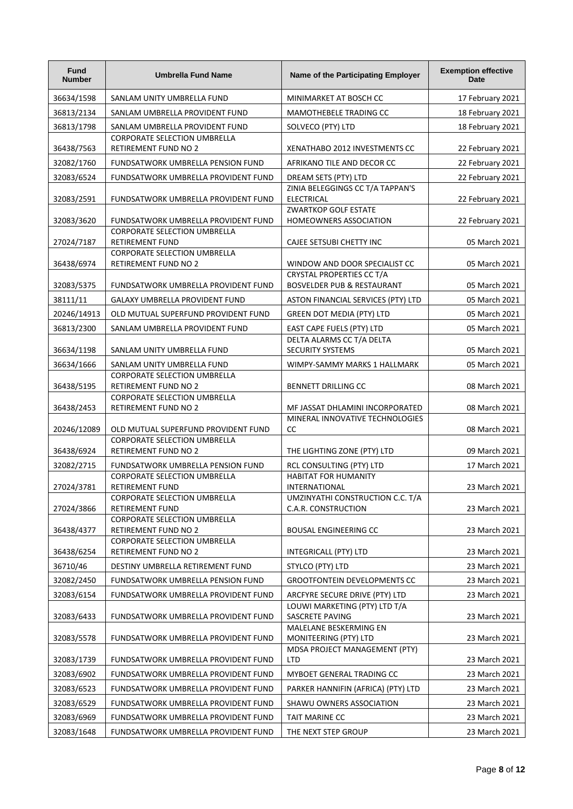| Fund<br><b>Number</b>    | <b>Umbrella Fund Name</b>                                                             | Name of the Participating Employer                                 | <b>Exemption effective</b><br><b>Date</b> |
|--------------------------|---------------------------------------------------------------------------------------|--------------------------------------------------------------------|-------------------------------------------|
| 36634/1598               | SANLAM UNITY UMBRELLA FUND                                                            | MINIMARKET AT BOSCH CC                                             | 17 February 2021                          |
| 36813/2134               | SANLAM UMBRELLA PROVIDENT FUND                                                        | MAMOTHEBELE TRADING CC                                             | 18 February 2021                          |
| 36813/1798               | SANLAM UMBRELLA PROVIDENT FUND<br><b>CORPORATE SELECTION UMBRELLA</b>                 | SOLVECO (PTY) LTD                                                  | 18 February 2021                          |
| 36438/7563               | <b>RETIREMENT FUND NO 2</b>                                                           | XENATHABO 2012 INVESTMENTS CC                                      | 22 February 2021                          |
| 32082/1760               | FUNDSATWORK UMBRELLA PENSION FUND                                                     | AFRIKANO TILE AND DECOR CC                                         | 22 February 2021                          |
| 32083/6524               | FUNDSATWORK UMBRELLA PROVIDENT FUND                                                   | DREAM SETS (PTY) LTD                                               | 22 February 2021                          |
| 32083/2591               | FUNDSATWORK UMBRELLA PROVIDENT FUND                                                   | ZINIA BELEGGINGS CC T/A TAPPAN'S<br><b>ELECTRICAL</b>              | 22 February 2021                          |
| 32083/3620               | FUNDSATWORK UMBRELLA PROVIDENT FUND                                                   | <b>ZWARTKOP GOLF ESTATE</b><br>HOMEOWNERS ASSOCIATION              | 22 February 2021                          |
| 27024/7187               | <b>CORPORATE SELECTION UMBRELLA</b><br>RETIREMENT FUND                                | CAJEE SETSUBI CHETTY INC                                           | 05 March 2021                             |
| 36438/6974               | CORPORATE SELECTION UMBRELLA<br><b>RETIREMENT FUND NO 2</b>                           | WINDOW AND DOOR SPECIALIST CC                                      | 05 March 2021                             |
|                          |                                                                                       | CRYSTAL PROPERTIES CC T/A                                          |                                           |
| 32083/5375               | FUNDSATWORK UMBRELLA PROVIDENT FUND                                                   | <b>BOSVELDER PUB &amp; RESTAURANT</b>                              | 05 March 2021                             |
| 38111/11                 | <b>GALAXY UMBRELLA PROVIDENT FUND</b>                                                 | ASTON FINANCIAL SERVICES (PTY) LTD                                 | 05 March 2021                             |
| 20246/14913              | OLD MUTUAL SUPERFUND PROVIDENT FUND                                                   | <b>GREEN DOT MEDIA (PTY) LTD</b>                                   | 05 March 2021                             |
| 36813/2300               | SANLAM UMBRELLA PROVIDENT FUND                                                        | EAST CAPE FUELS (PTY) LTD                                          | 05 March 2021                             |
| 36634/1198               | SANLAM UNITY UMBRELLA FUND                                                            | DELTA ALARMS CC T/A DELTA<br><b>SECURITY SYSTEMS</b>               | 05 March 2021                             |
| 36634/1666               | SANLAM UNITY UMBRELLA FUND                                                            | WIMPY-SAMMY MARKS 1 HALLMARK                                       | 05 March 2021                             |
| 36438/5195               | <b>CORPORATE SELECTION UMBRELLA</b><br><b>RETIREMENT FUND NO 2</b>                    | <b>BENNETT DRILLING CC</b>                                         | 08 March 2021                             |
|                          | <b>CORPORATE SELECTION UMBRELLA</b>                                                   |                                                                    |                                           |
| 36438/2453               | <b>RETIREMENT FUND NO 2</b>                                                           | MF JASSAT DHLAMINI INCORPORATED<br>MINERAL INNOVATIVE TECHNOLOGIES | 08 March 2021                             |
| 20246/12089              | OLD MUTUAL SUPERFUND PROVIDENT FUND                                                   | cc                                                                 | 08 March 2021                             |
| 36438/6924               | CORPORATE SELECTION UMBRELLA<br><b>RETIREMENT FUND NO 2</b>                           | THE LIGHTING ZONE (PTY) LTD                                        | 09 March 2021                             |
| 32082/2715               | FUNDSATWORK UMBRELLA PENSION FUND<br>CORPORATE SELECTION UMBRELLA                     | RCL CONSULTING (PTY) LTD<br><b>HABITAT FOR HUMANITY</b>            | 17 March 2021                             |
| 27024/3781               | RETIREMENT FUND                                                                       | <b>INTERNATIONAL</b>                                               | 23 March 2021                             |
|                          | CORPORATE SELECTION UMBRELLA                                                          | UMZINYATHI CONSTRUCTION C.C. T/A                                   |                                           |
| 27024/3866<br>36438/4377 | RETIREMENT FUND<br><b>CORPORATE SELECTION UMBRELLA</b><br><b>RETIREMENT FUND NO 2</b> | C.A.R. CONSTRUCTION<br><b>BOUSAL ENGINEERING CC</b>                | 23 March 2021<br>23 March 2021            |
|                          | CORPORATE SELECTION UMBRELLA                                                          |                                                                    |                                           |
| 36438/6254               | RETIREMENT FUND NO 2                                                                  | INTEGRICALL (PTY) LTD                                              | 23 March 2021                             |
| 36710/46<br>32082/2450   | DESTINY UMBRELLA RETIREMENT FUND<br>FUNDSATWORK UMBRELLA PENSION FUND                 | STYLCO (PTY) LTD<br><b>GROOTFONTEIN DEVELOPMENTS CC</b>            | 23 March 2021<br>23 March 2021            |
| 32083/6154               | FUNDSATWORK UMBRELLA PROVIDENT FUND                                                   | ARCFYRE SECURE DRIVE (PTY) LTD                                     | 23 March 2021                             |
| 32083/6433               | FUNDSATWORK UMBRELLA PROVIDENT FUND                                                   | LOUWI MARKETING (PTY) LTD T/A<br><b>SASCRETE PAVING</b>            | 23 March 2021                             |
| 32083/5578               | FUNDSATWORK UMBRELLA PROVIDENT FUND                                                   | MALELANE BESKERMING EN<br>MONITEERING (PTY) LTD                    | 23 March 2021                             |
| 32083/1739               | FUNDSATWORK UMBRELLA PROVIDENT FUND                                                   | MDSA PROJECT MANAGEMENT (PTY)<br><b>LTD</b>                        | 23 March 2021                             |
| 32083/6902               | FUNDSATWORK UMBRELLA PROVIDENT FUND                                                   | MYBOET GENERAL TRADING CC                                          | 23 March 2021                             |
| 32083/6523               | FUNDSATWORK UMBRELLA PROVIDENT FUND                                                   | PARKER HANNIFIN (AFRICA) (PTY) LTD                                 | 23 March 2021                             |
| 32083/6529               | FUNDSATWORK UMBRELLA PROVIDENT FUND                                                   | SHAWU OWNERS ASSOCIATION                                           | 23 March 2021                             |
| 32083/6969               | FUNDSATWORK UMBRELLA PROVIDENT FUND                                                   | TAIT MARINE CC                                                     | 23 March 2021                             |
| 32083/1648               | FUNDSATWORK UMBRELLA PROVIDENT FUND                                                   | THE NEXT STEP GROUP                                                | 23 March 2021                             |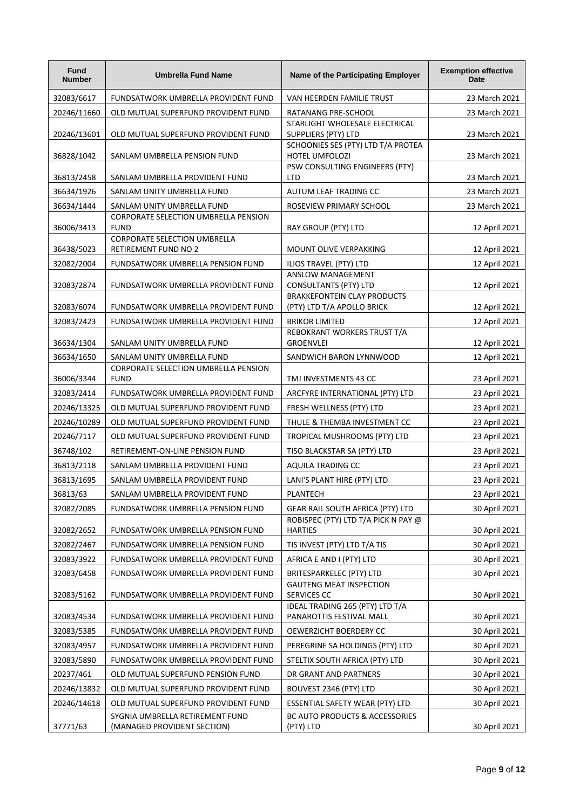| <b>Fund</b><br><b>Number</b> | <b>Umbrella Fund Name</b>                                              | Name of the Participating Employer                                           | <b>Exemption effective</b><br><b>Date</b> |
|------------------------------|------------------------------------------------------------------------|------------------------------------------------------------------------------|-------------------------------------------|
| 32083/6617                   | FUNDSATWORK UMBRELLA PROVIDENT FUND                                    | VAN HEERDEN FAMILIE TRUST                                                    | 23 March 2021                             |
| 20246/11660                  | OLD MUTUAL SUPERFUND PROVIDENT FUND                                    | RATANANG PRE-SCHOOL                                                          | 23 March 2021                             |
| 20246/13601                  | OLD MUTUAL SUPERFUND PROVIDENT FUND                                    | STARLIGHT WHOLESALE ELECTRICAL<br><b>SUPPLIERS (PTY) LTD</b>                 | 23 March 2021                             |
| 36828/1042                   | SANLAM UMBRELLA PENSION FUND                                           | SCHOONIES SES (PTY) LTD T/A PROTEA<br>HOTEL UMFOLOZI                         | 23 March 2021                             |
| 36813/2458                   | SANLAM UMBRELLA PROVIDENT FUND                                         | PSW CONSULTING ENGINEERS (PTY)<br><b>LTD</b>                                 | 23 March 2021                             |
| 36634/1926                   | SANLAM UNITY UMBRELLA FUND                                             | AUTUM LEAF TRADING CC                                                        | 23 March 2021                             |
| 36634/1444                   | SANLAM UNITY UMBRELLA FUND                                             | ROSEVIEW PRIMARY SCHOOL                                                      | 23 March 2021                             |
| 36006/3413                   | CORPORATE SELECTION UMBRELLA PENSION<br><b>FUND</b>                    | BAY GROUP (PTY) LTD                                                          | 12 April 2021                             |
| 36438/5023                   | CORPORATE SELECTION UMBRELLA<br><b>RETIREMENT FUND NO 2</b>            | MOUNT OLIVE VERPAKKING                                                       | 12 April 2021                             |
| 32082/2004                   | FUNDSATWORK UMBRELLA PENSION FUND                                      | ILIOS TRAVEL (PTY) LTD                                                       | 12 April 2021                             |
| 32083/2874                   | FUNDSATWORK UMBRELLA PROVIDENT FUND                                    | ANSLOW MANAGEMENT<br><b>CONSULTANTS (PTY) LTD</b>                            | 12 April 2021                             |
| 32083/6074                   | FUNDSATWORK UMBRELLA PROVIDENT FUND                                    | <b>BRAKKEFONTEIN CLAY PRODUCTS</b><br>(PTY) LTD T/A APOLLO BRICK             | 12 April 2021                             |
| 32083/2423                   | FUNDSATWORK UMBRELLA PROVIDENT FUND                                    | <b>BRIKOR LIMITED</b>                                                        | 12 April 2021                             |
| 36634/1304                   | SANLAM UNITY UMBRELLA FUND                                             | REBOKRANT WORKERS TRUST T/A<br><b>GROENVLEI</b>                              | 12 April 2021                             |
| 36634/1650                   | SANLAM UNITY UMBRELLA FUND                                             | SANDWICH BARON LYNNWOOD                                                      | 12 April 2021                             |
| 36006/3344                   | CORPORATE SELECTION UMBRELLA PENSION<br><b>FUND</b>                    | TMJ INVESTMENTS 43 CC                                                        | 23 April 2021                             |
| 32083/2414                   | FUNDSATWORK UMBRELLA PROVIDENT FUND                                    | ARCFYRE INTERNATIONAL (PTY) LTD                                              | 23 April 2021                             |
| 20246/13325                  | OLD MUTUAL SUPERFUND PROVIDENT FUND                                    | FRESH WELLNESS (PTY) LTD                                                     | 23 April 2021                             |
| 20246/10289                  | OLD MUTUAL SUPERFUND PROVIDENT FUND                                    | THULE & THEMBA INVESTMENT CC                                                 | 23 April 2021                             |
| 20246/7117                   | OLD MUTUAL SUPERFUND PROVIDENT FUND                                    | TROPICAL MUSHROOMS (PTY) LTD                                                 | 23 April 2021                             |
| 36748/102                    | RETIREMENT-ON-LINE PENSION FUND                                        | TISO BLACKSTAR SA (PTY) LTD                                                  | 23 April 2021                             |
| 36813/2118                   | SANLAM UMBRELLA PROVIDENT FUND                                         | AQUILA TRADING CC                                                            | 23 April 2021                             |
| 36813/1695                   | SANLAM UMBRELLA PROVIDENT FUND                                         | LANI'S PLANT HIRE (PTY) LTD                                                  | 23 April 2021                             |
| 36813/63                     | SANLAM UMBRELLA PROVIDENT FUND                                         | PLANTECH                                                                     | 23 April 2021                             |
| 32082/2085                   | FUNDSATWORK UMBRELLA PENSION FUND                                      | GEAR RAIL SOUTH AFRICA (PTY) LTD                                             | 30 April 2021                             |
| 32082/2652                   | FUNDSATWORK UMBRELLA PENSION FUND                                      | ROBISPEC (PTY) LTD T/A PICK N PAY @<br><b>HARTIES</b>                        | 30 April 2021                             |
| 32082/2467                   | FUNDSATWORK UMBRELLA PENSION FUND                                      | TIS INVEST (PTY) LTD T/A TIS                                                 | 30 April 2021                             |
| 32083/3922                   | FUNDSATWORK UMBRELLA PROVIDENT FUND                                    | AFRICA E AND I (PTY) LTD                                                     | 30 April 2021                             |
| 32083/6458                   | FUNDSATWORK UMBRELLA PROVIDENT FUND                                    | <b>BRITESPARKELEC (PTY) LTD</b><br><b>GAUTENG MEAT INSPECTION</b>            | 30 April 2021                             |
| 32083/5162                   | FUNDSATWORK UMBRELLA PROVIDENT FUND                                    | SERVICES CC<br>IDEAL TRADING 265 (PTY) LTD T/A                               | 30 April 2021                             |
| 32083/4534                   | FUNDSATWORK UMBRELLA PROVIDENT FUND                                    | PANAROTTIS FESTIVAL MALL                                                     | 30 April 2021                             |
| 32083/5385                   | FUNDSATWORK UMBRELLA PROVIDENT FUND                                    | OEWERZICHT BOERDERY CC                                                       | 30 April 2021                             |
| 32083/4957                   | FUNDSATWORK UMBRELLA PROVIDENT FUND                                    | PEREGRINE SA HOLDINGS (PTY) LTD                                              | 30 April 2021                             |
| 32083/5890                   | FUNDSATWORK UMBRELLA PROVIDENT FUND                                    | STELTIX SOUTH AFRICA (PTY) LTD                                               | 30 April 2021                             |
| 20237/461                    | OLD MUTUAL SUPERFUND PENSION FUND                                      | DR GRANT AND PARTNERS                                                        | 30 April 2021                             |
| 20246/13832                  | OLD MUTUAL SUPERFUND PROVIDENT FUND                                    | BOUVEST 2346 (PTY) LTD                                                       | 30 April 2021                             |
| 20246/14618                  | OLD MUTUAL SUPERFUND PROVIDENT FUND<br>SYGNIA UMBRELLA RETIREMENT FUND | ESSENTIAL SAFETY WEAR (PTY) LTD<br><b>BC AUTO PRODUCTS &amp; ACCESSORIES</b> | 30 April 2021                             |
| 37771/63                     | (MANAGED PROVIDENT SECTION)                                            | (PTY) LTD                                                                    | 30 April 2021                             |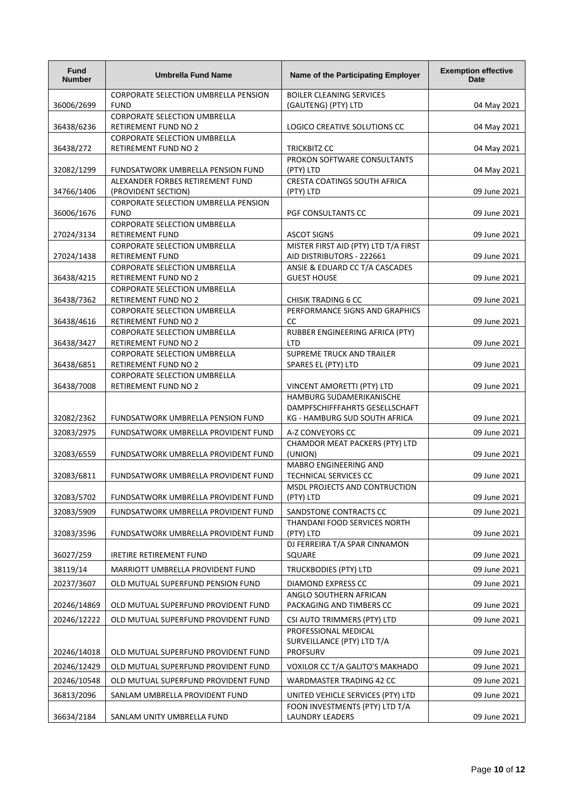| Fund<br><b>Number</b> | <b>Umbrella Fund Name</b>                                          | Name of the Participating Employer                   | <b>Exemption effective</b><br><b>Date</b> |
|-----------------------|--------------------------------------------------------------------|------------------------------------------------------|-------------------------------------------|
|                       | CORPORATE SELECTION UMBRELLA PENSION                               | <b>BOILER CLEANING SERVICES</b>                      |                                           |
| 36006/2699            | <b>FUND</b>                                                        | (GAUTENG) (PTY) LTD                                  | 04 May 2021                               |
| 36438/6236            | CORPORATE SELECTION UMBRELLA<br><b>RETIREMENT FUND NO 2</b>        | LOGICO CREATIVE SOLUTIONS CC                         | 04 May 2021                               |
|                       | <b>CORPORATE SELECTION UMBRELLA</b>                                |                                                      |                                           |
| 36438/272             | <b>RETIREMENT FUND NO 2</b>                                        | <b>TRICKBITZ CC</b>                                  | 04 May 2021                               |
|                       |                                                                    | PROKON SOFTWARE CONSULTANTS                          |                                           |
| 32082/1299            | FUNDSATWORK UMBRELLA PENSION FUND                                  | (PTY) LTD                                            | 04 May 2021                               |
|                       | ALEXANDER FORBES RETIREMENT FUND                                   | CRESTA COATINGS SOUTH AFRICA                         |                                           |
| 34766/1406            | (PROVIDENT SECTION)<br>CORPORATE SELECTION UMBRELLA PENSION        | (PTY) LTD                                            | 09 June 2021                              |
| 36006/1676            | <b>FUND</b>                                                        | PGF CONSULTANTS CC                                   | 09 June 2021                              |
|                       | CORPORATE SELECTION UMBRELLA                                       |                                                      |                                           |
| 27024/3134            | RETIREMENT FUND                                                    | <b>ASCOT SIGNS</b>                                   | 09 June 2021                              |
|                       | CORPORATE SELECTION UMBRELLA                                       | MISTER FIRST AID (PTY) LTD T/A FIRST                 |                                           |
| 27024/1438            | RETIREMENT FUND                                                    | AID DISTRIBUTORS - 222661                            | 09 June 2021                              |
| 36438/4215            | CORPORATE SELECTION UMBRELLA<br>RETIREMENT FUND NO 2               | ANSIE & EDUARD CC T/A CASCADES<br><b>GUEST HOUSE</b> | 09 June 2021                              |
|                       | <b>CORPORATE SELECTION UMBRELLA</b>                                |                                                      |                                           |
| 36438/7362            | <b>RETIREMENT FUND NO 2</b>                                        | <b>CHISIK TRADING 6 CC</b>                           | 09 June 2021                              |
|                       | <b>CORPORATE SELECTION UMBRELLA</b>                                | PERFORMANCE SIGNS AND GRAPHICS                       |                                           |
| 36438/4616            | <b>RETIREMENT FUND NO 2</b>                                        | cc                                                   | 09 June 2021                              |
|                       | <b>CORPORATE SELECTION UMBRELLA</b>                                | RUBBER ENGINEERING AFRICA (PTY)                      |                                           |
| 36438/3427            | RETIREMENT FUND NO 2                                               | <b>LTD</b>                                           | 09 June 2021                              |
| 36438/6851            | <b>CORPORATE SELECTION UMBRELLA</b><br><b>RETIREMENT FUND NO 2</b> | SUPREME TRUCK AND TRAILER<br>SPARES EL (PTY) LTD     | 09 June 2021                              |
|                       | <b>CORPORATE SELECTION UMBRELLA</b>                                |                                                      |                                           |
| 36438/7008            | RETIREMENT FUND NO 2                                               | VINCENT AMORETTI (PTY) LTD                           | 09 June 2021                              |
|                       |                                                                    | HAMBURG SUDAMERIKANISCHE                             |                                           |
|                       |                                                                    | DAMPFSCHIFFFAHRTS GESELLSCHAFT                       |                                           |
| 32082/2362            | FUNDSATWORK UMBRELLA PENSION FUND                                  | KG - HAMBURG SUD SOUTH AFRICA                        | 09 June 2021                              |
| 32083/2975            | FUNDSATWORK UMBRELLA PROVIDENT FUND                                | A-Z CONVEYORS CC                                     | 09 June 2021                              |
| 32083/6559            | FUNDSATWORK UMBRELLA PROVIDENT FUND                                | CHAMDOR MEAT PACKERS (PTY) LTD<br>(UNION)            | 09 June 2021                              |
|                       |                                                                    | MABRO ENGINEERING AND                                |                                           |
| 32083/6811            | FUNDSATWORK UMBRELLA PROVIDENT FUND                                | TECHNICAL SERVICES CC                                | 09 June 2021                              |
|                       |                                                                    | MSDL PROJECTS AND CONTRUCTION                        |                                           |
| 32083/5702            | FUNDSATWORK UMBRELLA PROVIDENT FUND                                | (PTY) LTD                                            | 09 June 2021                              |
| 32083/5909            | FUNDSATWORK UMBRELLA PROVIDENT FUND                                | SANDSTONE CONTRACTS CC                               | 09 June 2021                              |
|                       |                                                                    | THANDANI FOOD SERVICES NORTH                         |                                           |
| 32083/3596            | FUNDSATWORK UMBRELLA PROVIDENT FUND                                | (PTY) LTD                                            | 09 June 2021                              |
| 36027/259             | <b>IRETIRE RETIREMENT FUND</b>                                     | DJ FERREIRA T/A SPAR CINNAMON<br>SQUARE              | 09 June 2021                              |
| 38119/14              | MARRIOTT UMBRELLA PROVIDENT FUND                                   | <b>TRUCKBODIES (PTY) LTD</b>                         | 09 June 2021                              |
| 20237/3607            | OLD MUTUAL SUPERFUND PENSION FUND                                  | <b>DIAMOND EXPRESS CC</b>                            | 09 June 2021                              |
|                       |                                                                    | ANGLO SOUTHERN AFRICAN                               |                                           |
| 20246/14869           | OLD MUTUAL SUPERFUND PROVIDENT FUND                                | PACKAGING AND TIMBERS CC                             | 09 June 2021                              |
| 20246/12222           | OLD MUTUAL SUPERFUND PROVIDENT FUND                                | CSI AUTO TRIMMERS (PTY) LTD                          | 09 June 2021                              |
|                       |                                                                    | PROFESSIONAL MEDICAL                                 |                                           |
|                       |                                                                    | SURVEILLANCE (PTY) LTD T/A                           |                                           |
| 20246/14018           | OLD MUTUAL SUPERFUND PROVIDENT FUND                                | <b>PROFSURV</b>                                      | 09 June 2021                              |
| 20246/12429           | OLD MUTUAL SUPERFUND PROVIDENT FUND                                | VOXILOR CC T/A GALITO'S MAKHADO                      | 09 June 2021                              |
| 20246/10548           | OLD MUTUAL SUPERFUND PROVIDENT FUND                                | WARDMASTER TRADING 42 CC                             | 09 June 2021                              |
| 36813/2096            | SANLAM UMBRELLA PROVIDENT FUND                                     | UNITED VEHICLE SERVICES (PTY) LTD                    | 09 June 2021                              |
|                       |                                                                    | FOON INVESTMENTS (PTY) LTD T/A                       |                                           |
| 36634/2184            | SANLAM UNITY UMBRELLA FUND                                         | <b>LAUNDRY LEADERS</b>                               | 09 June 2021                              |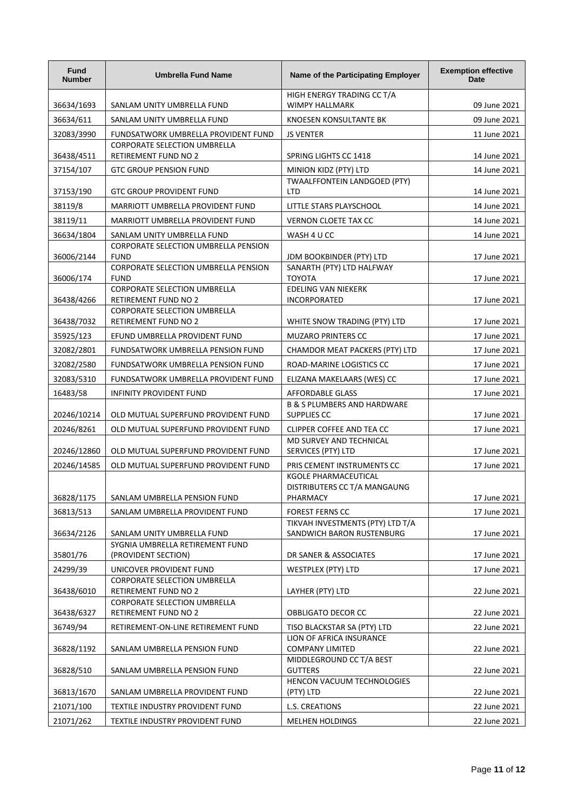| <b>Fund</b><br><b>Number</b> | <b>Umbrella Fund Name</b>                                          | Name of the Participating Employer                                                | <b>Exemption effective</b><br><b>Date</b> |
|------------------------------|--------------------------------------------------------------------|-----------------------------------------------------------------------------------|-------------------------------------------|
| 36634/1693                   | SANLAM UNITY UMBRELLA FUND                                         | HIGH ENERGY TRADING CC T/A<br><b>WIMPY HALLMARK</b>                               | 09 June 2021                              |
| 36634/611                    | SANLAM UNITY UMBRELLA FUND                                         | KNOESEN KONSULTANTE BK                                                            | 09 June 2021                              |
| 32083/3990                   | FUNDSATWORK UMBRELLA PROVIDENT FUND                                | <b>JS VENTER</b>                                                                  | 11 June 2021                              |
| 36438/4511                   | <b>CORPORATE SELECTION UMBRELLA</b><br><b>RETIREMENT FUND NO 2</b> | SPRING LIGHTS CC 1418                                                             | 14 June 2021                              |
| 37154/107                    | <b>GTC GROUP PENSION FUND</b>                                      | MINION KIDZ (PTY) LTD                                                             | 14 June 2021                              |
| 37153/190                    | <b>GTC GROUP PROVIDENT FUND</b>                                    | TWAALFFONTEIN LANDGOED (PTY)<br><b>LTD</b>                                        | 14 June 2021                              |
| 38119/8                      | MARRIOTT UMBRELLA PROVIDENT FUND                                   | LITTLE STARS PLAYSCHOOL                                                           | 14 June 2021                              |
| 38119/11                     | MARRIOTT UMBRELLA PROVIDENT FUND                                   | VERNON CLOETE TAX CC                                                              | 14 June 2021                              |
| 36634/1804                   | SANLAM UNITY UMBRELLA FUND                                         | WASH 4 U CC                                                                       | 14 June 2021                              |
| 36006/2144                   | CORPORATE SELECTION UMBRELLA PENSION<br><b>FUND</b>                | JDM BOOKBINDER (PTY) LTD                                                          | 17 June 2021                              |
| 36006/174                    | CORPORATE SELECTION UMBRELLA PENSION<br><b>FUND</b>                | SANARTH (PTY) LTD HALFWAY<br><b>TOYOTA</b>                                        | 17 June 2021                              |
| 36438/4266                   | CORPORATE SELECTION UMBRELLA<br><b>RETIREMENT FUND NO 2</b>        | <b>EDELING VAN NIEKERK</b><br>INCORPORATED                                        | 17 June 2021                              |
| 36438/7032                   | <b>CORPORATE SELECTION UMBRELLA</b><br>RETIREMENT FUND NO 2        | WHITE SNOW TRADING (PTY) LTD                                                      | 17 June 2021                              |
| 35925/123                    | EFUND UMBRELLA PROVIDENT FUND                                      | <b>MUZARO PRINTERS CC</b>                                                         | 17 June 2021                              |
| 32082/2801                   | FUNDSATWORK UMBRELLA PENSION FUND                                  | CHAMDOR MEAT PACKERS (PTY) LTD                                                    | 17 June 2021                              |
| 32082/2580                   | FUNDSATWORK UMBRELLA PENSION FUND                                  | ROAD-MARINE LOGISTICS CC                                                          | 17 June 2021                              |
| 32083/5310                   | FUNDSATWORK UMBRELLA PROVIDENT FUND                                | ELIZANA MAKELAARS (WES) CC                                                        | 17 June 2021                              |
| 16483/58                     | INFINITY PROVIDENT FUND                                            | AFFORDABLE GLASS                                                                  | 17 June 2021                              |
| 20246/10214                  | OLD MUTUAL SUPERFUND PROVIDENT FUND                                | <b>B &amp; S PLUMBERS AND HARDWARE</b><br><b>SUPPLIES CC</b>                      | 17 June 2021                              |
| 20246/8261                   | OLD MUTUAL SUPERFUND PROVIDENT FUND                                | CLIPPER COFFEE AND TEA CC                                                         | 17 June 2021                              |
| 20246/12860                  | OLD MUTUAL SUPERFUND PROVIDENT FUND                                | MD SURVEY AND TECHNICAL<br>SERVICES (PTY) LTD                                     | 17 June 2021                              |
| 20246/14585                  | OLD MUTUAL SUPERFUND PROVIDENT FUND                                | PRIS CEMENT INSTRUMENTS CC                                                        | 17 June 2021                              |
|                              |                                                                    | <b>KGOLE PHARMACEUTICAL</b><br>DISTRIBUTERS CC T/A MANGAUNG                       |                                           |
| 36828/1175                   | SANLAM UMBRELLA PENSION FUND                                       | PHARMACY                                                                          | 17 June 2021                              |
| 36813/513                    | SANLAM UMBRELLA PROVIDENT FUND                                     | <b>FOREST FERNS CC</b><br>TIKVAH INVESTMENTS (PTY) LTD T/A                        | 17 June 2021                              |
| 36634/2126                   | SANLAM UNITY UMBRELLA FUND<br>SYGNIA UMBRELLA RETIREMENT FUND      | SANDWICH BARON RUSTENBURG                                                         | 17 June 2021                              |
| 35801/76                     | (PROVIDENT SECTION)                                                | DR SANER & ASSOCIATES                                                             | 17 June 2021                              |
| 24299/39                     | UNICOVER PROVIDENT FUND                                            | <b>WESTPLEX (PTY) LTD</b>                                                         | 17 June 2021                              |
| 36438/6010                   | <b>CORPORATE SELECTION UMBRELLA</b><br>RETIREMENT FUND NO 2        | LAYHER (PTY) LTD                                                                  | 22 June 2021                              |
|                              | CORPORATE SELECTION UMBRELLA                                       |                                                                                   |                                           |
| 36438/6327                   | RETIREMENT FUND NO 2                                               | OBBLIGATO DECOR CC                                                                | 22 June 2021                              |
| 36749/94<br>36828/1192       | RETIREMENT-ON-LINE RETIREMENT FUND                                 | TISO BLACKSTAR SA (PTY) LTD<br>LION OF AFRICA INSURANCE<br><b>COMPANY LIMITED</b> | 22 June 2021                              |
| 36828/510                    | SANLAM UMBRELLA PENSION FUND<br>SANLAM UMBRELLA PENSION FUND       | MIDDLEGROUND CC T/A BEST<br><b>GUTTERS</b>                                        | 22 June 2021<br>22 June 2021              |
| 36813/1670                   | SANLAM UMBRELLA PROVIDENT FUND                                     | HENCON VACUUM TECHNOLOGIES<br>(PTY) LTD                                           | 22 June 2021                              |
| 21071/100                    | TEXTILE INDUSTRY PROVIDENT FUND                                    | L.S. CREATIONS                                                                    | 22 June 2021                              |
| 21071/262                    | TEXTILE INDUSTRY PROVIDENT FUND                                    | <b>MELHEN HOLDINGS</b>                                                            | 22 June 2021                              |